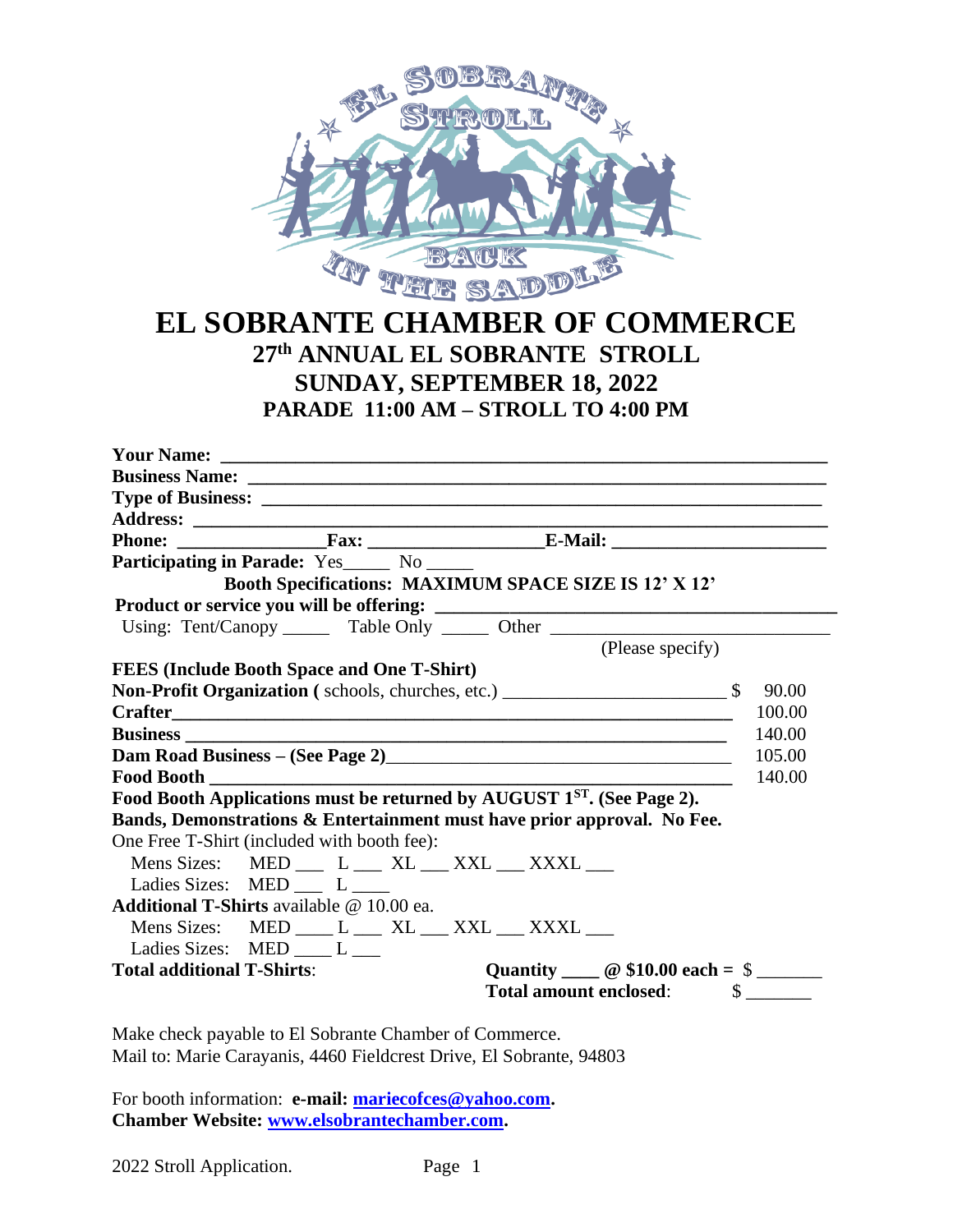

# **EL SOBRANTE CHAMBER OF COMMERCE 27 th ANNUAL EL SOBRANTE STROLL SUNDAY, SEPTEMBER 18, 2022 PARADE 11:00 AM – STROLL TO 4:00 PM**

|                                                                                       | Participating in Parade: Yes _____ No _____       |                                                                                                                                                                                                                                        |        |
|---------------------------------------------------------------------------------------|---------------------------------------------------|----------------------------------------------------------------------------------------------------------------------------------------------------------------------------------------------------------------------------------------|--------|
|                                                                                       |                                                   | Booth Specifications: MAXIMUM SPACE SIZE IS 12' X 12'                                                                                                                                                                                  |        |
|                                                                                       |                                                   |                                                                                                                                                                                                                                        |        |
|                                                                                       |                                                   | Using: Tent/Canopy ________ Table Only _______ Other ___________________________                                                                                                                                                       |        |
|                                                                                       |                                                   | (Please specify)                                                                                                                                                                                                                       |        |
|                                                                                       | <b>FEES</b> (Include Booth Space and One T-Shirt) |                                                                                                                                                                                                                                        |        |
|                                                                                       |                                                   |                                                                                                                                                                                                                                        |        |
|                                                                                       |                                                   |                                                                                                                                                                                                                                        | 100.00 |
|                                                                                       |                                                   |                                                                                                                                                                                                                                        | 140.00 |
|                                                                                       |                                                   | Dam Road Business – (See Page 2)<br><u>Letter and the contract of the set of the set of the set of the set of the set of the set of the set of the set of the set of the set of the set of the set of the set of the set of the se</u> | 105.00 |
| <b>Food Booth</b>                                                                     |                                                   |                                                                                                                                                                                                                                        | 140.00 |
|                                                                                       |                                                   | Food Booth Applications must be returned by AUGUST 1 <sup>ST</sup> . (See Page 2).                                                                                                                                                     |        |
|                                                                                       |                                                   | Bands, Demonstrations & Entertainment must have prior approval. No Fee.                                                                                                                                                                |        |
|                                                                                       | One Free T-Shirt (included with booth fee):       |                                                                                                                                                                                                                                        |        |
|                                                                                       |                                                   | Mens Sizes: MED __ L __ XL __ XXL __ XXXL __                                                                                                                                                                                           |        |
|                                                                                       | Ladies Sizes: MED __ L __                         |                                                                                                                                                                                                                                        |        |
|                                                                                       | Additional T-Shirts available @ 10.00 ea.         |                                                                                                                                                                                                                                        |        |
|                                                                                       |                                                   | Mens Sizes: MED ___ L ___ XL ___ XXL ___ XXXL ___                                                                                                                                                                                      |        |
|                                                                                       | Ladies Sizes: MED L____                           |                                                                                                                                                                                                                                        |        |
| <b>Total additional T-Shirts:</b><br>Quantity $\_\_$ $\circ$ \$10.00 each = \$ $\_\_$ |                                                   |                                                                                                                                                                                                                                        |        |
|                                                                                       |                                                   |                                                                                                                                                                                                                                        |        |

Make check payable to El Sobrante Chamber of Commerce. Mail to: Marie Carayanis, 4460 Fieldcrest Drive, El Sobrante, 94803

For booth information: **e-mail: [mariecofces@yahoo.com.](mailto:mariecofces@yahoo.com) Chamber Website: [www.elsobrantechamber.com.](http://www.elsobrantechamber.com/)** 

| 2022 Stroll Application. | Page 1 |  |
|--------------------------|--------|--|
|--------------------------|--------|--|